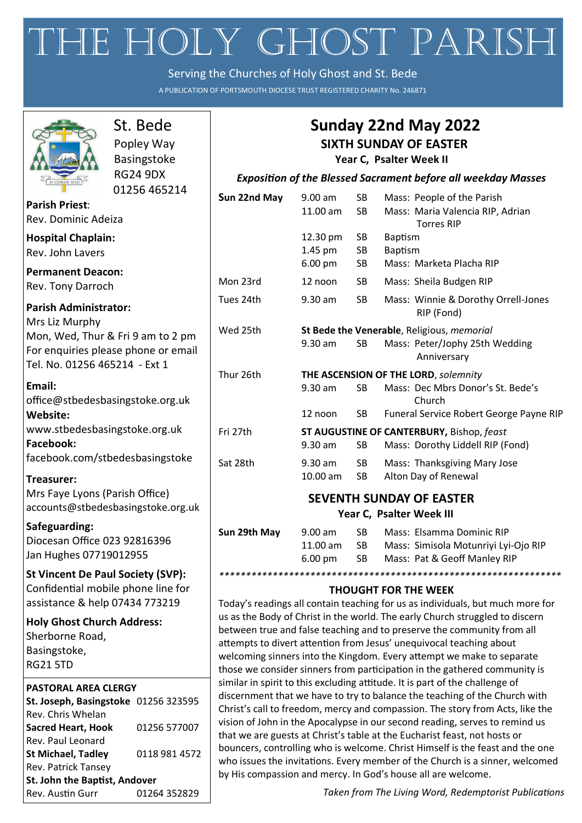# THE HOLY GHOST PARISH

Serving the Churches of Holy Ghost and St. Bede

A PUBLICATION OF PORTSMOUTH DIOCESE TRUST REGISTERED CHARITY No. 246871

|                                                                                                                                                                                                                                                               | St. Bede<br>Popley Way<br><b>Basingstoke</b><br><b>RG24 9DX</b> | Sunday 22nd May 2022<br><b>SIXTH SUNDAY OF EASTER</b><br>Year C, Psalter Week II                                                                                                                                                                                                                                                                                                                                                                                                         |                                            |                        |                                                                                                      |                                  |  |  |  |  |                                                              |
|---------------------------------------------------------------------------------------------------------------------------------------------------------------------------------------------------------------------------------------------------------------|-----------------------------------------------------------------|------------------------------------------------------------------------------------------------------------------------------------------------------------------------------------------------------------------------------------------------------------------------------------------------------------------------------------------------------------------------------------------------------------------------------------------------------------------------------------------|--------------------------------------------|------------------------|------------------------------------------------------------------------------------------------------|----------------------------------|--|--|--|--|--------------------------------------------------------------|
| IN CORDE IESU                                                                                                                                                                                                                                                 |                                                                 | <b>Exposition of the Blessed Sacrament before all weekday Masses</b>                                                                                                                                                                                                                                                                                                                                                                                                                     |                                            |                        |                                                                                                      |                                  |  |  |  |  |                                                              |
| 01256 465214<br><b>Parish Priest:</b><br>Rev. Dominic Adeiza                                                                                                                                                                                                  |                                                                 | Sun 22nd May                                                                                                                                                                                                                                                                                                                                                                                                                                                                             | 9.00 a <sub>m</sub><br>11.00 am            | <b>SB</b><br>SB        | Mass: People of the Parish<br>Mass: Maria Valencia RIP, Adrian<br><b>Torres RIP</b>                  |                                  |  |  |  |  |                                                              |
| <b>Hospital Chaplain:</b><br>Rev. John Lavers<br><b>Permanent Deacon:</b><br>Rev. Tony Darroch<br><b>Parish Administrator:</b><br>Mrs Liz Murphy<br>Mon, Wed, Thur & Fri 9 am to 2 pm<br>For enquiries please phone or email<br>Tel. No. 01256 465214 - Ext 1 |                                                                 |                                                                                                                                                                                                                                                                                                                                                                                                                                                                                          | 12.30 pm<br>1.45 pm                        | SB<br>SB<br>SB         | <b>Baptism</b><br><b>Baptism</b><br>Mass: Marketa Placha RIP                                         |                                  |  |  |  |  |                                                              |
|                                                                                                                                                                                                                                                               |                                                                 | Mon 23rd                                                                                                                                                                                                                                                                                                                                                                                                                                                                                 | 6.00 pm<br>12 noon                         | <b>SB</b>              | Mass: Sheila Budgen RIP                                                                              |                                  |  |  |  |  |                                                              |
|                                                                                                                                                                                                                                                               |                                                                 | Tues 24th                                                                                                                                                                                                                                                                                                                                                                                                                                                                                | 9.30 am                                    | SB                     | Mass: Winnie & Dorothy Orrell-Jones<br>RIP (Fond)                                                    |                                  |  |  |  |  |                                                              |
|                                                                                                                                                                                                                                                               |                                                                 | Wed 25th                                                                                                                                                                                                                                                                                                                                                                                                                                                                                 | 9.30 am                                    | SB                     | St Bede the Venerable, Religious, memorial<br>Mass: Peter/Jophy 25th Wedding<br>Anniversary          |                                  |  |  |  |  |                                                              |
|                                                                                                                                                                                                                                                               |                                                                 | Thur 26th<br>THE ASCENSION OF THE LORD, solemnity                                                                                                                                                                                                                                                                                                                                                                                                                                        |                                            |                        |                                                                                                      |                                  |  |  |  |  |                                                              |
| Email:<br>office@stbedesbasingstoke.org.uk<br>Website:<br>www.stbedesbasingstoke.org.uk<br><b>Facebook:</b><br>facebook.com/stbedesbasingstoke<br>Treasurer:<br>Mrs Faye Lyons (Parish Office)                                                                |                                                                 |                                                                                                                                                                                                                                                                                                                                                                                                                                                                                          | 9.30 am                                    | <b>SB</b>              | Mass: Dec Mbrs Donor's St. Bede's<br>Church                                                          |                                  |  |  |  |  |                                                              |
|                                                                                                                                                                                                                                                               |                                                                 |                                                                                                                                                                                                                                                                                                                                                                                                                                                                                          | 12 noon                                    | <b>SB</b>              | Funeral Service Robert George Payne RIP                                                              |                                  |  |  |  |  |                                                              |
|                                                                                                                                                                                                                                                               |                                                                 | Fri 27th<br>ST AUGUSTINE OF CANTERBURY, Bishop, feast<br>9.30 am<br>Mass: Dorothy Liddell RIP (Fond)<br><b>SB</b>                                                                                                                                                                                                                                                                                                                                                                        |                                            |                        |                                                                                                      |                                  |  |  |  |  |                                                              |
|                                                                                                                                                                                                                                                               |                                                                 | Sat 28th                                                                                                                                                                                                                                                                                                                                                                                                                                                                                 | 9.30 am<br>10.00 am                        | <b>SB</b><br>SB        | Mass: Thanksgiving Mary Jose<br>Alton Day of Renewal                                                 |                                  |  |  |  |  |                                                              |
|                                                                                                                                                                                                                                                               |                                                                 |                                                                                                                                                                                                                                                                                                                                                                                                                                                                                          |                                            |                        |                                                                                                      |                                  |  |  |  |  |                                                              |
| accounts@stbedesbasingstoke.org.uk                                                                                                                                                                                                                            |                                                                 | <b>SEVENTH SUNDAY OF EASTER</b><br>Year C, Psalter Week III                                                                                                                                                                                                                                                                                                                                                                                                                              |                                            |                        |                                                                                                      |                                  |  |  |  |  |                                                              |
| Safeguarding:<br>Diocesan Office 023 92816396<br>Jan Hughes 07719012955                                                                                                                                                                                       |                                                                 | Sun 29th May                                                                                                                                                                                                                                                                                                                                                                                                                                                                             | $9.00$ am<br>11.00 am<br>$6.00 \text{ pm}$ | <b>SB</b><br><b>SB</b> | Mass: Elsamma Dominic RIP<br>SB Mass: Simisola Motunriyi Lyi-Ojo RIP<br>Mass: Pat & Geoff Manley RIP |                                  |  |  |  |  |                                                              |
| <b>St Vincent De Paul Society (SVP):</b>                                                                                                                                                                                                                      |                                                                 |                                                                                                                                                                                                                                                                                                                                                                                                                                                                                          |                                            |                        |                                                                                                      |                                  |  |  |  |  |                                                              |
| Confidential mobile phone line for<br>assistance & help 07434 773219                                                                                                                                                                                          |                                                                 | <b>THOUGHT FOR THE WEEK</b><br>Today's readings all contain teaching for us as individuals, but much more for                                                                                                                                                                                                                                                                                                                                                                            |                                            |                        |                                                                                                      |                                  |  |  |  |  |                                                              |
| <b>Holy Ghost Church Address:</b><br>Sherborne Road,<br>Basingstoke,<br><b>RG21 5TD</b>                                                                                                                                                                       |                                                                 | us as the Body of Christ in the world. The early Church struggled to discern<br>between true and false teaching and to preserve the community from all<br>attempts to divert attention from Jesus' unequivocal teaching about<br>welcoming sinners into the Kingdom. Every attempt we make to separate<br>those we consider sinners from participation in the gathered community is                                                                                                      |                                            |                        |                                                                                                      |                                  |  |  |  |  |                                                              |
| <b>PASTORAL AREA CLERGY</b>                                                                                                                                                                                                                                   |                                                                 | similar in spirit to this excluding attitude. It is part of the challenge of                                                                                                                                                                                                                                                                                                                                                                                                             |                                            |                        |                                                                                                      |                                  |  |  |  |  |                                                              |
| St. Joseph, Basingstoke 01256 323595<br>Rev. Chris Whelan<br><b>Sacred Heart, Hook</b><br>01256 577007<br>Rev. Paul Leonard<br><b>St Michael, Tadley</b><br>0118 981 4572<br>Rev. Patrick Tansey                                                              |                                                                 | discernment that we have to try to balance the teaching of the Church with<br>Christ's call to freedom, mercy and compassion. The story from Acts, like the<br>vision of John in the Apocalypse in our second reading, serves to remind us<br>that we are guests at Christ's table at the Eucharist feast, not hosts or<br>bouncers, controlling who is welcome. Christ Himself is the feast and the one<br>who issues the invitations. Every member of the Church is a sinner, welcomed |                                            |                        |                                                                                                      |                                  |  |  |  |  |                                                              |
|                                                                                                                                                                                                                                                               |                                                                 |                                                                                                                                                                                                                                                                                                                                                                                                                                                                                          |                                            |                        |                                                                                                      | St. John the Baptist, Andover    |  |  |  |  | by His compassion and mercy. In God's house all are welcome. |
|                                                                                                                                                                                                                                                               |                                                                 |                                                                                                                                                                                                                                                                                                                                                                                                                                                                                          |                                            |                        |                                                                                                      | Rev. Austin Gurr<br>01264 352829 |  |  |  |  | Taken from The Living Word, Redemptorist Publications        |